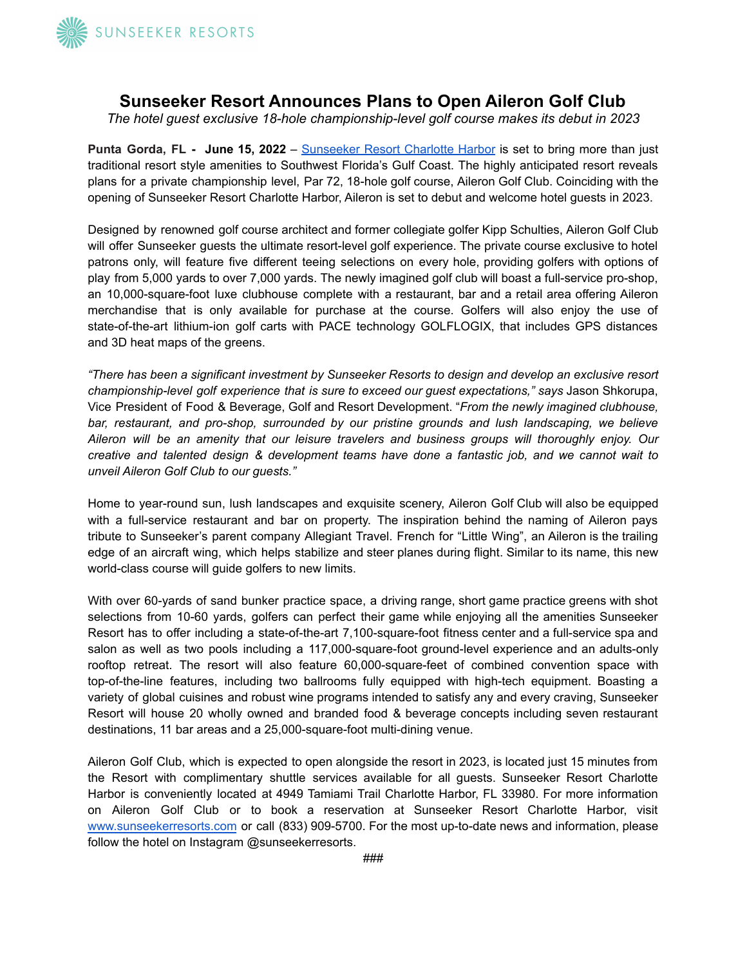

## **Sunseeker Resort Announces Plans to Open Aileron Golf Club**

*The hotel guest exclusive 18-hole championship-level golf course makes its debut in 2023*

**Punta Gorda, FL - June 15, 2022** – [Sunseeker](https://www.sunseekerresorts.com/) Resort Charlotte Harbor is set to bring more than just traditional resort style amenities to Southwest Florida's Gulf Coast. The highly anticipated resort reveals plans for a private championship level, Par 72, 18-hole golf course, Aileron Golf Club. Coinciding with the opening of Sunseeker Resort Charlotte Harbor, Aileron is set to debut and welcome hotel guests in 2023.

Designed by renowned golf course architect and former collegiate golfer Kipp Schulties, Aileron Golf Club will offer Sunseeker guests the ultimate resort-level golf experience. The private course exclusive to hotel patrons only, will feature five different teeing selections on every hole, providing golfers with options of play from 5,000 yards to over 7,000 yards. The newly imagined golf club will boast a full-service pro-shop, an 10,000-square-foot luxe clubhouse complete with a restaurant, bar and a retail area offering Aileron merchandise that is only available for purchase at the course. Golfers will also enjoy the use of state-of-the-art lithium-ion golf carts with PACE technology GOLFLOGIX, that includes GPS distances and 3D heat maps of the greens.

*"There has been a significant investment by Sunseeker Resorts to design and develop an exclusive resort championship-level golf experience that is sure to exceed our guest expectations," says* Jason Shkorupa, Vice President of Food & Beverage, Golf and Resort Development. "*From the newly imagined clubhouse, bar, restaurant, and pro-shop, surrounded by our pristine grounds and lush landscaping, we believe Aileron will be an amenity that our leisure travelers and business groups will thoroughly enjoy. Our creative and talented design & development teams have done a fantastic job, and we cannot wait to unveil Aileron Golf Club to our guests."*

Home to year-round sun, lush landscapes and exquisite scenery, Aileron Golf Club will also be equipped with a full-service restaurant and bar on property. The inspiration behind the naming of Aileron pays tribute to Sunseeker's parent company Allegiant Travel. French for "Little Wing", an Aileron is the trailing edge of an aircraft wing, which helps stabilize and steer planes during flight. Similar to its name, this new world-class course will guide golfers to new limits.

With over 60-yards of sand bunker practice space, a driving range, short game practice greens with shot selections from 10-60 yards, golfers can perfect their game while enjoying all the amenities Sunseeker Resort has to offer including a state-of-the-art 7,100-square-foot fitness center and a full-service spa and salon as well as two pools including a 117,000-square-foot ground-level experience and an adults-only rooftop retreat. The resort will also feature 60,000-square-feet of combined convention space with top-of-the-line features, including two ballrooms fully equipped with high-tech equipment. Boasting a variety of global cuisines and robust wine programs intended to satisfy any and every craving, Sunseeker Resort will house 20 wholly owned and branded food & beverage concepts including seven restaurant destinations, 11 bar areas and a 25,000-square-foot multi-dining venue.

Aileron Golf Club, which is expected to open alongside the resort in 2023, is located just 15 minutes from the Resort with complimentary shuttle services available for all guests. Sunseeker Resort Charlotte Harbor is conveniently located at 4949 Tamiami Trail Charlotte Harbor, FL 33980. For more information on Aileron Golf Club or to book a reservation at Sunseeker Resort Charlotte Harbor, visit [www.sunseekerresorts.com](http://www.sunseekerresort.com) or call (833) 909-5700. For the most up-to-date news and information, please follow the hotel on Instagram @sunseekerresorts.